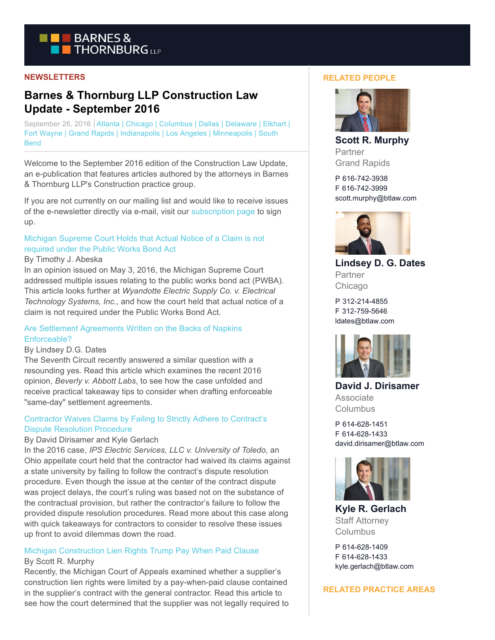

## **NEWSLETTERS**

# **Barnes & Thornburg LLP Construction Law Update - September 2016**

September 26, 2016 | Atlanta | Chicago | Columbus | Dallas | Delaware | Elkhart | Fort Wayne | Grand Rapids | Indianapolis | Los Angeles | Minneapolis | South **Bend** 

Welcome to the September 2016 edition of the Construction Law Update, an e-publication that features articles authored by the attorneys in Barnes & Thornburg LLP's Construction practice group.

If you are not currently on our mailing list and would like to receive issues of the e-newsletter directly via e-mail, visit our [subscription page t](http://www.btlaw.com/contactus/xpqContactUs.aspx?xpST=ContactUs)o sign up.

# [Michigan Supreme Court Holds that Actual Notice of a Claim is not](http://www.btlaw.com/Michigan-Supreme-Court-Holds-that-Actual-Notice-of-a-Claim-is-not-required-under-the-Public-Works-Bond-Act-09-26-2016/) required under the Public Works Bond Act

#### By Timothy J. Abeska

In an opinion issued on May 3, 2016, the Michigan Supreme Court addressed multiple issues relating to the public works bond act (PWBA). This article looks further at *Wyandotte Electric Supply Co. v. Electrical Technology Systems, Inc.,* and how the court held that actual notice of a claim is not required under the Public Works Bond Act.

## [Are Settlement Agreements Written on the Backs of Napkins](http://www.btlaw.com/Are-Settlement-Agreements-Written-on-the-Backs-of-Napkins-Enforceable-09-26-2016/) Enforceable?

## By Lindsey D.G. Dates

The Seventh Circuit recently answered a similar question with a resounding yes. Read this article which examines the recent 2016 opinion, *Beverly v. Abbott Labs*, to see how the case unfolded and receive practical takeaway tips to consider when drafting enforceable "same-day" settlement agreements.

# [Contractor Waives Claims by Failing to Strictly Adhere to Contract's](http://www.btlaw.com/Contractor-Waives-Claims-by-Failing-to-Strictly-Adhere-to-Contracts-Dispute-Resolution-Procedure-09-26-2016/) Dispute Resolution Procedure

## By David Dirisamer and Kyle Gerlach

In the 2016 case, *IPS Electric Services, LLC v. University of Toledo*, an Ohio appellate court held that the contractor had waived its claims against a state university by failing to follow the contract's dispute resolution procedure. Even though the issue at the center of the contract dispute was project delays, the court's ruling was based not on the substance of the contractual provision, but rather the contractor's failure to follow the provided dispute resolution procedures. Read more about this case along with quick takeaways for contractors to consider to resolve these issues up front to avoid dilemmas down the road.

## [Michigan Construction Lien Rights Trump Pay When Paid Clause](http://www.btlaw.com/Michigan-Construction-Lien-Rights-Trump-Pay-When-Paid-Clause-09-26-2016/) By Scott R. Murphy

Recently, the Michigan Court of Appeals examined whether a supplier's construction lien rights were limited by a pay-when-paid clause contained in the supplier's contract with the general contractor. Read this article to see how the court determined that the supplier was not legally required to

#### **RELATED PEOPLE**



**Scott R. Murphy** Partner Grand Rapids

P 616-742-3938 F 616-742-3999 scott.murphy@btlaw.com



**Lindsey D. G. Dates** Partner Chicago

P 312-214-4855 F 312-759-5646 ldates@btlaw.com



**David J. Dirisamer** Associate Columbus

P 614-628-1451 F 614-628-1433 david.dirisamer@btlaw.com



**Kyle R. Gerlach** Staff Attorney Columbus

P 614-628-1409 F 614-628-1433 kyle.gerlach@btlaw.com

#### **RELATED PRACTICE AREAS**